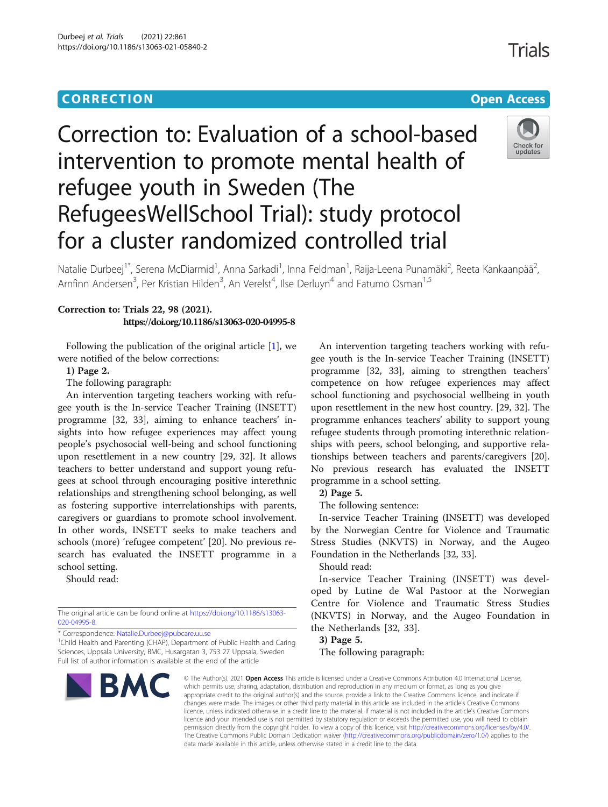### **CORRECTION CORRECTION CORRECTION**

# Correction to: Evaluation of a school-based intervention to promote mental health of refugee youth in Sweden (The RefugeesWellSchool Trial): study protocol for a cluster randomized controlled trial



Natalie Durbeej<sup>1\*</sup>, Serena McDiarmid<sup>1</sup>, Anna Sarkadi<sup>1</sup>, Inna Feldman<sup>1</sup>, Raija-Leena Punamäki<sup>2</sup>, Reeta Kankaanpää<sup>2</sup> , Arnfinn Andersen<sup>3</sup>, Per Kristian Hilden<sup>3</sup>, An Verelst<sup>4</sup>, Ilse Derluyn<sup>4</sup> and Fatumo Osman<sup>1,5</sup>

#### Correction to: Trials 22, 98 (2021). https://doi.org/10.1186/s13063-020-04995-8

Following the publication of the original article  $[1]$  $[1]$ , we were notified of the below corrections:

1) Page 2.

The following paragraph:

An intervention targeting teachers working with refugee youth is the In-service Teacher Training (INSETT) programme [32, 33], aiming to enhance teachers' insights into how refugee experiences may affect young people's psychosocial well-being and school functioning upon resettlement in a new country [29, 32]. It allows teachers to better understand and support young refugees at school through encouraging positive interethnic relationships and strengthening school belonging, as well as fostering supportive interrelationships with parents, caregivers or guardians to promote school involvement. In other words, INSETT seeks to make teachers and schools (more) 'refugee competent' [20]. No previous research has evaluated the INSETT programme in a school setting.

Should read:

The original article can be found online at [https://doi.org/10.1186/s13063-](https://doi.org/10.1186/s13063-020-04995-8) [020-04995-8](https://doi.org/10.1186/s13063-020-04995-8).

\* Correspondence: [Natalie.Durbeej@pubcare.uu.se](mailto:Natalie.Durbeej@pubcare.uu.se) <sup>1</sup>

<sup>1</sup>Child Health and Parenting (CHAP), Department of Public Health and Caring Sciences, Uppsala University, BMC, Husargatan 3, 753 27 Uppsala, Sweden Full list of author information is available at the end of the article



An intervention targeting teachers working with refugee youth is the In-service Teacher Training (INSETT) programme [32, 33], aiming to strengthen teachers' competence on how refugee experiences may affect school functioning and psychosocial wellbeing in youth upon resettlement in the new host country. [29, 32]. The programme enhances teachers' ability to support young refugee students through promoting interethnic relationships with peers, school belonging, and supportive relationships between teachers and parents/caregivers [20]. No previous research has evaluated the INSETT programme in a school setting.

2) Page 5.

The following sentence:

In-service Teacher Training (INSETT) was developed by the Norwegian Centre for Violence and Traumatic Stress Studies (NKVTS) in Norway, and the Augeo Foundation in the Netherlands [32, 33].

Should read:

In-service Teacher Training (INSETT) was developed by Lutine de Wal Pastoor at the Norwegian Centre for Violence and Traumatic Stress Studies (NKVTS) in Norway, and the Augeo Foundation in the Netherlands [32, 33].

3) Page 5.

The following paragraph:

© The Author(s), 2021 **Open Access** This article is licensed under a Creative Commons Attribution 4.0 International License, which permits use, sharing, adaptation, distribution and reproduction in any medium or format, as long as you give appropriate credit to the original author(s) and the source, provide a link to the Creative Commons licence, and indicate if changes were made. The images or other third party material in this article are included in the article's Creative Commons licence, unless indicated otherwise in a credit line to the material. If material is not included in the article's Creative Commons licence and your intended use is not permitted by statutory regulation or exceeds the permitted use, you will need to obtain permission directly from the copyright holder. To view a copy of this licence, visit [http://creativecommons.org/licenses/by/4.0/.](http://creativecommons.org/licenses/by/4.0/) The Creative Commons Public Domain Dedication waiver [\(http://creativecommons.org/publicdomain/zero/1.0/](http://creativecommons.org/publicdomain/zero/1.0/)) applies to the data made available in this article, unless otherwise stated in a credit line to the data.

## **Trials**